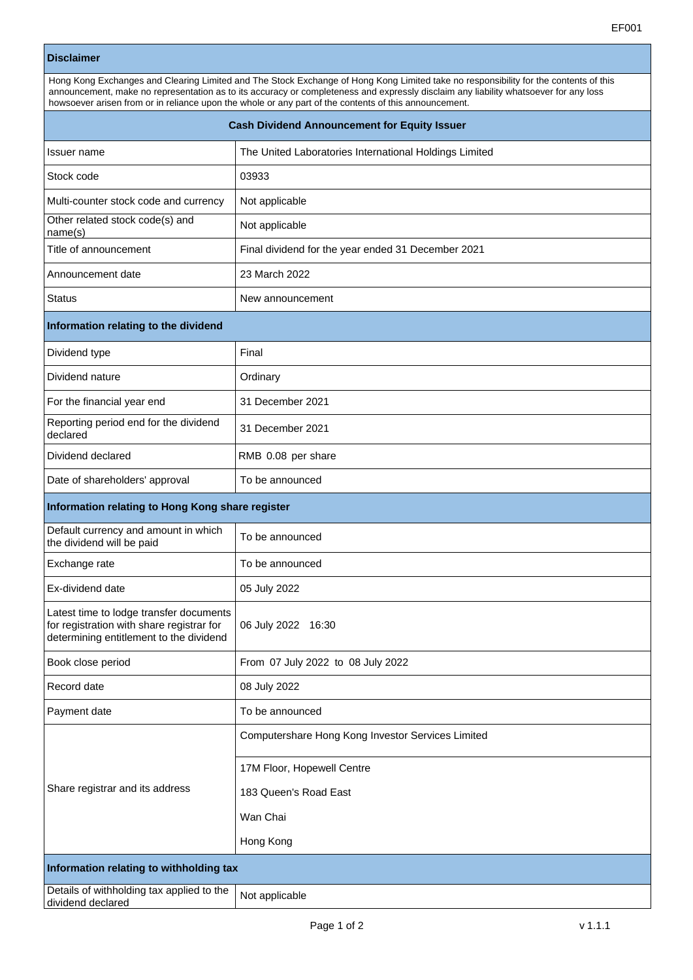| <b>Disclaimer</b>                                                                                                                                                                                                                                                                                                                                                                     |                                                        |
|---------------------------------------------------------------------------------------------------------------------------------------------------------------------------------------------------------------------------------------------------------------------------------------------------------------------------------------------------------------------------------------|--------------------------------------------------------|
| Hong Kong Exchanges and Clearing Limited and The Stock Exchange of Hong Kong Limited take no responsibility for the contents of this<br>announcement, make no representation as to its accuracy or completeness and expressly disclaim any liability whatsoever for any loss<br>howsoever arisen from or in reliance upon the whole or any part of the contents of this announcement. |                                                        |
| <b>Cash Dividend Announcement for Equity Issuer</b>                                                                                                                                                                                                                                                                                                                                   |                                                        |
| Issuer name                                                                                                                                                                                                                                                                                                                                                                           | The United Laboratories International Holdings Limited |
| Stock code                                                                                                                                                                                                                                                                                                                                                                            | 03933                                                  |
| Multi-counter stock code and currency                                                                                                                                                                                                                                                                                                                                                 | Not applicable                                         |
| Other related stock code(s) and<br>name(s)                                                                                                                                                                                                                                                                                                                                            | Not applicable                                         |
| Title of announcement                                                                                                                                                                                                                                                                                                                                                                 | Final dividend for the year ended 31 December 2021     |
| Announcement date                                                                                                                                                                                                                                                                                                                                                                     | 23 March 2022                                          |
| <b>Status</b>                                                                                                                                                                                                                                                                                                                                                                         | New announcement                                       |
| Information relating to the dividend                                                                                                                                                                                                                                                                                                                                                  |                                                        |
| Dividend type                                                                                                                                                                                                                                                                                                                                                                         | Final                                                  |
| Dividend nature                                                                                                                                                                                                                                                                                                                                                                       | Ordinary                                               |
| For the financial year end                                                                                                                                                                                                                                                                                                                                                            | 31 December 2021                                       |
| Reporting period end for the dividend<br>declared                                                                                                                                                                                                                                                                                                                                     | 31 December 2021                                       |
| Dividend declared                                                                                                                                                                                                                                                                                                                                                                     | RMB 0.08 per share                                     |
| Date of shareholders' approval                                                                                                                                                                                                                                                                                                                                                        | To be announced                                        |
| Information relating to Hong Kong share register                                                                                                                                                                                                                                                                                                                                      |                                                        |
| Default currency and amount in which<br>the dividend will be paid                                                                                                                                                                                                                                                                                                                     | To be announced                                        |
| Exchange rate                                                                                                                                                                                                                                                                                                                                                                         | To be announced                                        |
| Ex-dividend date                                                                                                                                                                                                                                                                                                                                                                      | 05 July 2022                                           |
| Latest time to lodge transfer documents<br>for registration with share registrar for<br>determining entitlement to the dividend                                                                                                                                                                                                                                                       | 06 July 2022 16:30                                     |
| Book close period                                                                                                                                                                                                                                                                                                                                                                     | From 07 July 2022 to 08 July 2022                      |
| Record date                                                                                                                                                                                                                                                                                                                                                                           | 08 July 2022                                           |
| Payment date                                                                                                                                                                                                                                                                                                                                                                          | To be announced                                        |
| Share registrar and its address                                                                                                                                                                                                                                                                                                                                                       | Computershare Hong Kong Investor Services Limited      |
|                                                                                                                                                                                                                                                                                                                                                                                       | 17M Floor, Hopewell Centre                             |
|                                                                                                                                                                                                                                                                                                                                                                                       | 183 Queen's Road East                                  |
|                                                                                                                                                                                                                                                                                                                                                                                       | Wan Chai                                               |
|                                                                                                                                                                                                                                                                                                                                                                                       | Hong Kong                                              |

**Information relating to withholding tax**